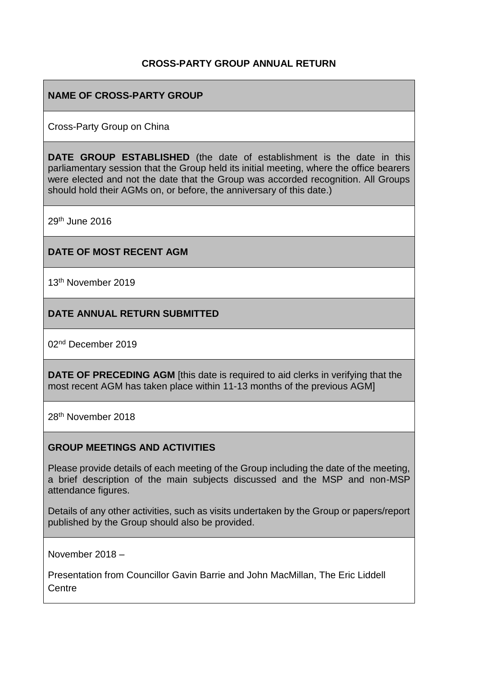## **CROSS-PARTY GROUP ANNUAL RETURN**

## **NAME OF CROSS-PARTY GROUP**

Cross-Party Group on China

**DATE GROUP ESTABLISHED** (the date of establishment is the date in this parliamentary session that the Group held its initial meeting, where the office bearers were elected and not the date that the Group was accorded recognition. All Groups should hold their AGMs on, or before, the anniversary of this date.)

29th June 2016

### **DATE OF MOST RECENT AGM**

13th November 2019

### **DATE ANNUAL RETURN SUBMITTED**

02nd December 2019

**DATE OF PRECEDING AGM** [this date is required to aid clerks in verifying that the most recent AGM has taken place within 11-13 months of the previous AGM]

28th November 2018

### **GROUP MEETINGS AND ACTIVITIES**

Please provide details of each meeting of the Group including the date of the meeting, a brief description of the main subjects discussed and the MSP and non-MSP attendance figures.

Details of any other activities, such as visits undertaken by the Group or papers/report published by the Group should also be provided.

November 2018 –

Presentation from Councillor Gavin Barrie and John MacMillan, The Eric Liddell Centre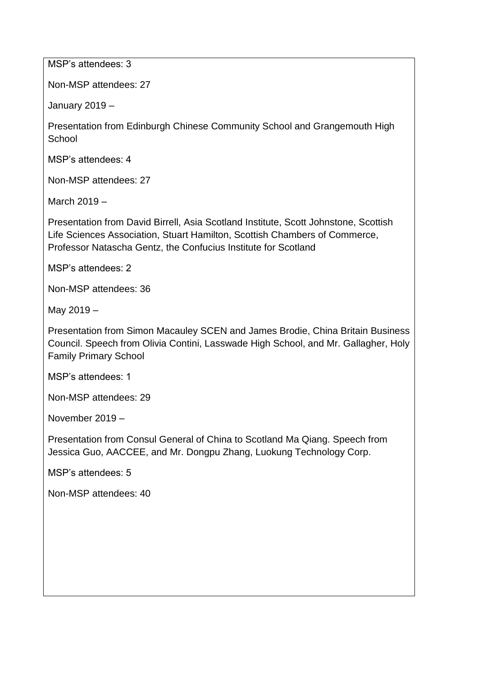MSP's attendees: 3

Non-MSP attendees: 27

January 2019 –

Presentation from Edinburgh Chinese Community School and Grangemouth High **School** 

MSP's attendees: 4

Non-MSP attendees: 27

March 2019 –

Presentation from David Birrell, Asia Scotland Institute, Scott Johnstone, Scottish Life Sciences Association, Stuart Hamilton, Scottish Chambers of Commerce, Professor Natascha Gentz, the Confucius Institute for Scotland

MSP's attendees: 2

Non-MSP attendees: 36

May 2019 –

Presentation from Simon Macauley SCEN and James Brodie, China Britain Business Council. Speech from Olivia Contini, Lasswade High School, and Mr. Gallagher, Holy Family Primary School

MSP's attendees: 1

Non-MSP attendees: 29

November 2019 –

Presentation from Consul General of China to Scotland Ma Qiang. Speech from Jessica Guo, AACCEE, and Mr. Dongpu Zhang, Luokung Technology Corp.

MSP's attendees: 5

Non-MSP attendees: 40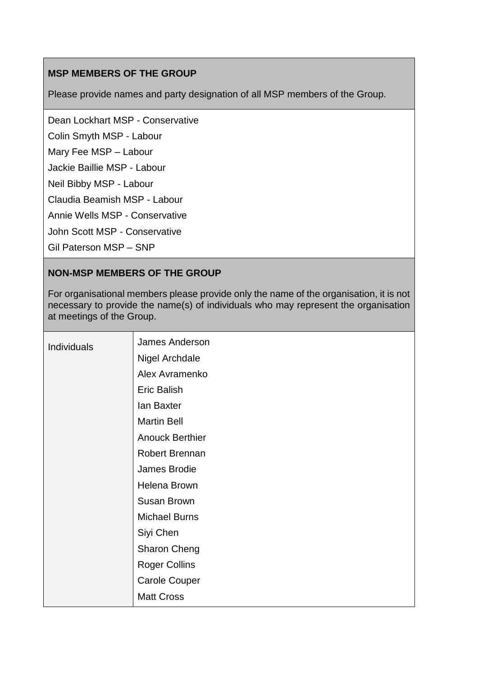# **MSP MEMBERS OF THE GROUP**

Please provide names and party designation of all MSP members of the Group.

Dean Lockhart MSP - Conservative

Colin Smyth MSP - Labour

Mary Fee MSP – Labour

Jackie Baillie MSP - Labour

Neil Bibby MSP - Labour

Claudia Beamish MSP - Labour

Annie Wells MSP - Conservative

John Scott MSP - Conservative

Gil Paterson MSP – SNP

## **NON-MSP MEMBERS OF THE GROUP**

For organisational members please provide only the name of the organisation, it is not necessary to provide the name(s) of individuals who may represent the organisation at meetings of the Group.

| <b>Individuals</b> | James Anderson         |
|--------------------|------------------------|
|                    | Nigel Archdale         |
|                    | Alex Avramenko         |
|                    | <b>Eric Balish</b>     |
|                    | lan Baxter             |
|                    | <b>Martin Bell</b>     |
|                    | <b>Anouck Berthier</b> |
|                    | Robert Brennan         |
|                    | James Brodie           |
|                    | Helena Brown           |
|                    | <b>Susan Brown</b>     |
|                    | <b>Michael Burns</b>   |
|                    | Siyi Chen              |
|                    | <b>Sharon Cheng</b>    |
|                    | <b>Roger Collins</b>   |
|                    | <b>Carole Couper</b>   |
|                    | <b>Matt Cross</b>      |
|                    |                        |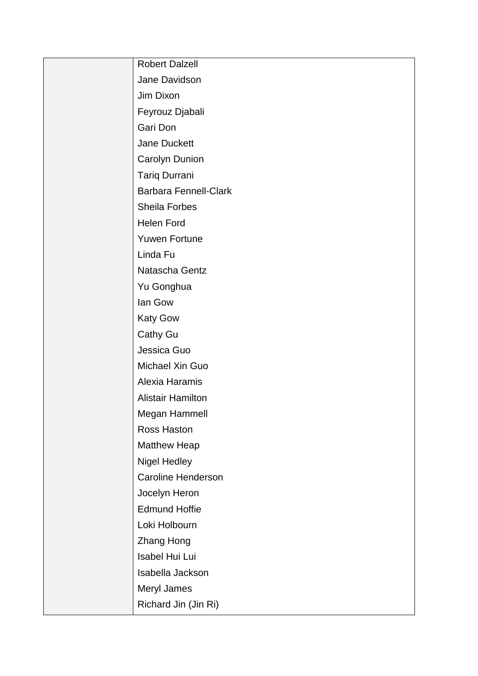| <b>Robert Dalzell</b>        |
|------------------------------|
| Jane Davidson                |
| Jim Dixon                    |
| Feyrouz Djabali              |
| Gari Don                     |
| Jane Duckett                 |
| Carolyn Dunion               |
| <b>Tariq Durrani</b>         |
| <b>Barbara Fennell-Clark</b> |
| Sheila Forbes                |
| <b>Helen Ford</b>            |
| <b>Yuwen Fortune</b>         |
| Linda Fu                     |
| Natascha Gentz               |
| Yu Gonghua                   |
| lan Gow                      |
| <b>Katy Gow</b>              |
| <b>Cathy Gu</b>              |
| Jessica Guo                  |
| Michael Xin Guo              |
| Alexia Haramis               |
| <b>Alistair Hamilton</b>     |
| Megan Hammell                |
| <b>Ross Haston</b>           |
| <b>Matthew Heap</b>          |
| <b>Nigel Hedley</b>          |
| <b>Caroline Henderson</b>    |
| Jocelyn Heron                |
| <b>Edmund Hoffie</b>         |
| Loki Holbourn                |
| <b>Zhang Hong</b>            |
| Isabel Hui Lui               |
| Isabella Jackson             |
| Meryl James                  |
| Richard Jin (Jin Ri)         |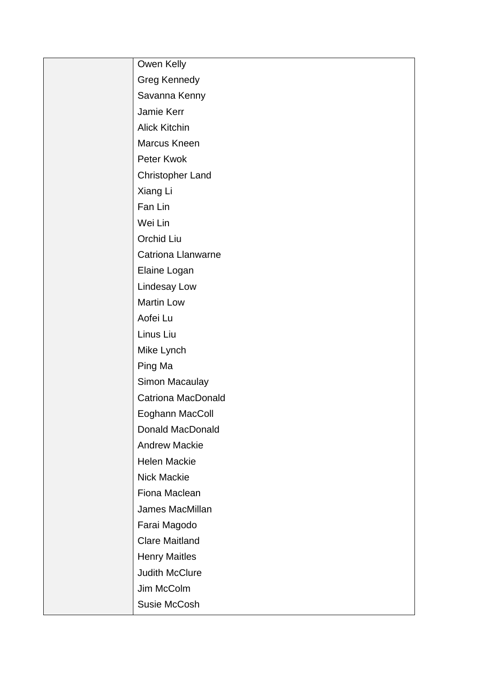| Owen Kelly                |
|---------------------------|
| <b>Greg Kennedy</b>       |
| Savanna Kenny             |
| Jamie Kerr                |
| Alick Kitchin             |
| Marcus Kneen              |
| Peter Kwok                |
| <b>Christopher Land</b>   |
| Xiang Li                  |
| Fan Lin                   |
| Wei Lin                   |
| Orchid Liu                |
| <b>Catriona Llanwarne</b> |
| Elaine Logan              |
| Lindesay Low              |
| Martin Low                |
| Aofei Lu                  |
| Linus Liu                 |
| Mike Lynch                |
| Ping Ma                   |
| Simon Macaulay            |
| <b>Catriona MacDonald</b> |
| Eoghann MacColl           |
| <b>Donald MacDonald</b>   |
| <b>Andrew Mackie</b>      |
| Helen Mackie              |
| Nick Mackie               |
| Fiona Maclean             |
| James MacMillan           |
| Farai Magodo              |
| <b>Clare Maitland</b>     |
| <b>Henry Maitles</b>      |
| <b>Judith McClure</b>     |
| Jim McColm                |
| Susie McCosh              |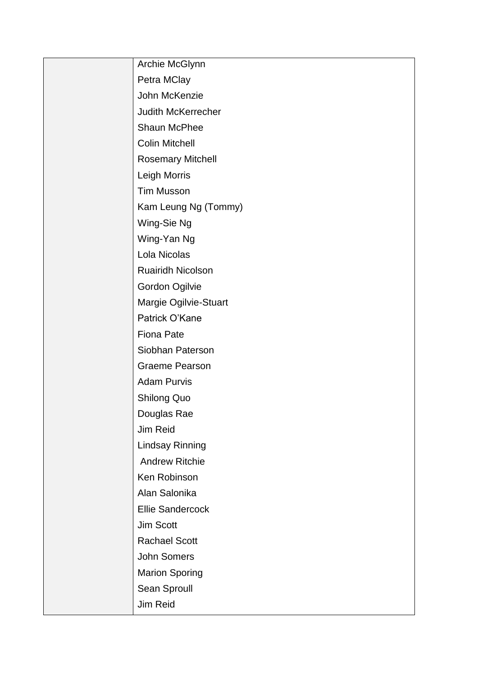| Archie McGlynn            |
|---------------------------|
| Petra MClay               |
| John McKenzie             |
| <b>Judith McKerrecher</b> |
| Shaun McPhee              |
| <b>Colin Mitchell</b>     |
| <b>Rosemary Mitchell</b>  |
| Leigh Morris              |
| <b>Tim Musson</b>         |
| Kam Leung Ng (Tommy)      |
| Wing-Sie Ng               |
| Wing-Yan Ng               |
| Lola Nicolas              |
| Ruairidh Nicolson         |
| Gordon Ogilvie            |
| Margie Ogilvie-Stuart     |
| Patrick O'Kane            |
| <b>Fiona Pate</b>         |
| Siobhan Paterson          |
| <b>Graeme Pearson</b>     |
| <b>Adam Purvis</b>        |
| <b>Shilong Quo</b>        |
| Douglas Rae               |
| Jim Reid                  |
| <b>Lindsay Rinning</b>    |
| <b>Andrew Ritchie</b>     |
| Ken Robinson              |
| Alan Salonika             |
| <b>Ellie Sandercock</b>   |
| Jim Scott                 |
| <b>Rachael Scott</b>      |
| <b>John Somers</b>        |
| <b>Marion Sporing</b>     |
| Sean Sproull              |
| Jim Reid                  |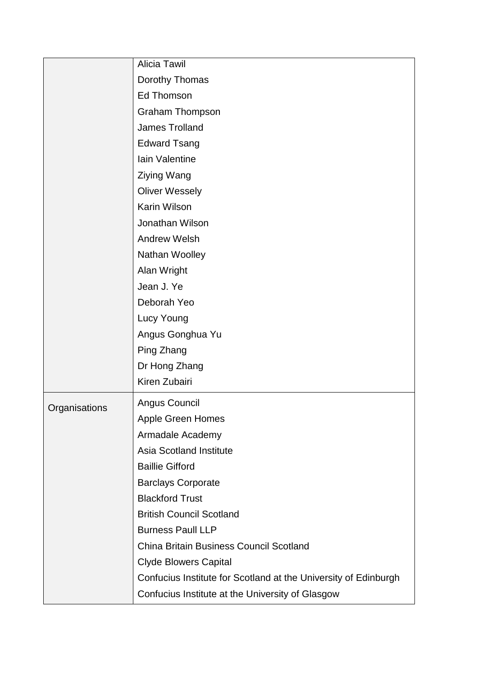|               | Alicia Tawil                                                    |
|---------------|-----------------------------------------------------------------|
|               | Dorothy Thomas                                                  |
|               | <b>Ed Thomson</b>                                               |
|               | <b>Graham Thompson</b>                                          |
|               | <b>James Trolland</b>                                           |
|               | <b>Edward Tsang</b>                                             |
|               | Iain Valentine                                                  |
|               | Ziying Wang                                                     |
|               | <b>Oliver Wessely</b>                                           |
|               | Karin Wilson                                                    |
|               | Jonathan Wilson                                                 |
|               | <b>Andrew Welsh</b>                                             |
|               | Nathan Woolley                                                  |
|               | Alan Wright                                                     |
|               | Jean J. Ye                                                      |
|               | Deborah Yeo                                                     |
|               | Lucy Young                                                      |
|               | Angus Gonghua Yu                                                |
|               | Ping Zhang                                                      |
|               | Dr Hong Zhang                                                   |
|               | Kiren Zubairi                                                   |
| Organisations | Angus Council                                                   |
|               | <b>Apple Green Homes</b>                                        |
|               | Armadale Academy                                                |
|               | <b>Asia Scotland Institute</b>                                  |
|               | <b>Baillie Gifford</b>                                          |
|               | <b>Barclays Corporate</b>                                       |
|               | <b>Blackford Trust</b>                                          |
|               | <b>British Council Scotland</b>                                 |
|               | <b>Burness Paull LLP</b>                                        |
|               | <b>China Britain Business Council Scotland</b>                  |
|               | <b>Clyde Blowers Capital</b>                                    |
|               | Confucius Institute for Scotland at the University of Edinburgh |
|               | Confucius Institute at the University of Glasgow                |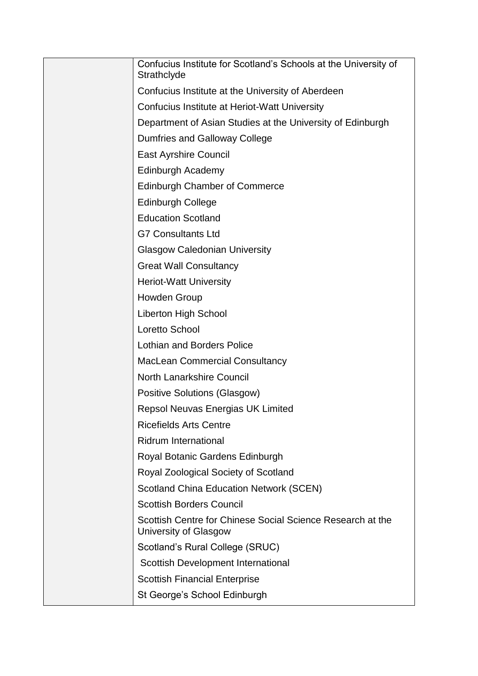| Confucius Institute for Scotland's Schools at the University of<br>Strathclyde      |
|-------------------------------------------------------------------------------------|
| Confucius Institute at the University of Aberdeen                                   |
| Confucius Institute at Heriot-Watt University                                       |
| Department of Asian Studies at the University of Edinburgh                          |
| Dumfries and Galloway College                                                       |
| <b>East Ayrshire Council</b>                                                        |
| <b>Edinburgh Academy</b>                                                            |
| <b>Edinburgh Chamber of Commerce</b>                                                |
| <b>Edinburgh College</b>                                                            |
| <b>Education Scotland</b>                                                           |
| <b>G7 Consultants Ltd</b>                                                           |
| <b>Glasgow Caledonian University</b>                                                |
| <b>Great Wall Consultancy</b>                                                       |
| <b>Heriot-Watt University</b>                                                       |
| Howden Group                                                                        |
| <b>Liberton High School</b>                                                         |
| Loretto School                                                                      |
| <b>Lothian and Borders Police</b>                                                   |
| <b>MacLean Commercial Consultancy</b>                                               |
| <b>North Lanarkshire Council</b>                                                    |
| <b>Positive Solutions (Glasgow)</b>                                                 |
| <b>Repsol Neuvas Energias UK Limited</b>                                            |
| <b>Ricefields Arts Centre</b>                                                       |
| <b>Ridrum International</b>                                                         |
| Royal Botanic Gardens Edinburgh                                                     |
| Royal Zoological Society of Scotland                                                |
| <b>Scotland China Education Network (SCEN)</b>                                      |
| <b>Scottish Borders Council</b>                                                     |
| Scottish Centre for Chinese Social Science Research at the<br>University of Glasgow |
| Scotland's Rural College (SRUC)                                                     |
| Scottish Development International                                                  |
| <b>Scottish Financial Enterprise</b>                                                |
| St George's School Edinburgh                                                        |
|                                                                                     |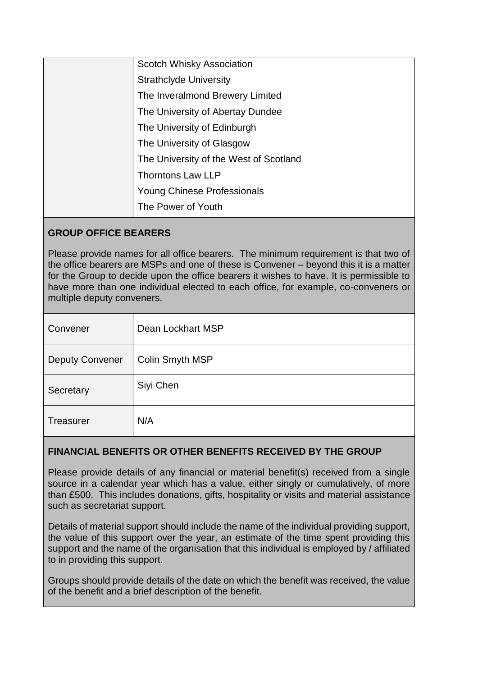| Scotch Whisky Association              |
|----------------------------------------|
| <b>Strathclyde University</b>          |
| The Inveralmond Brewery Limited        |
| The University of Abertay Dundee       |
| The University of Edinburgh            |
| The University of Glasgow              |
| The University of the West of Scotland |
| <b>Thorntons Law LLP</b>               |
| Young Chinese Professionals            |
| The Power of Youth                     |

## **GROUP OFFICE BEARERS**

Please provide names for all office bearers. The minimum requirement is that two of the office bearers are MSPs and one of these is Convener – beyond this it is a matter for the Group to decide upon the office bearers it wishes to have. It is permissible to have more than one individual elected to each office, for example, co-conveners or multiple deputy conveners.

| Convener               | Dean Lockhart MSP |
|------------------------|-------------------|
| <b>Deputy Convener</b> | Colin Smyth MSP   |
| Secretary              | Siyi Chen         |
| <b>Treasurer</b>       | N/A               |

# **FINANCIAL BENEFITS OR OTHER BENEFITS RECEIVED BY THE GROUP**

Please provide details of any financial or material benefit(s) received from a single source in a calendar year which has a value, either singly or cumulatively, of more than £500. This includes donations, gifts, hospitality or visits and material assistance such as secretariat support.

Details of material support should include the name of the individual providing support, the value of this support over the year, an estimate of the time spent providing this support and the name of the organisation that this individual is employed by / affiliated to in providing this support.

Groups should provide details of the date on which the benefit was received, the value of the benefit and a brief description of the benefit.